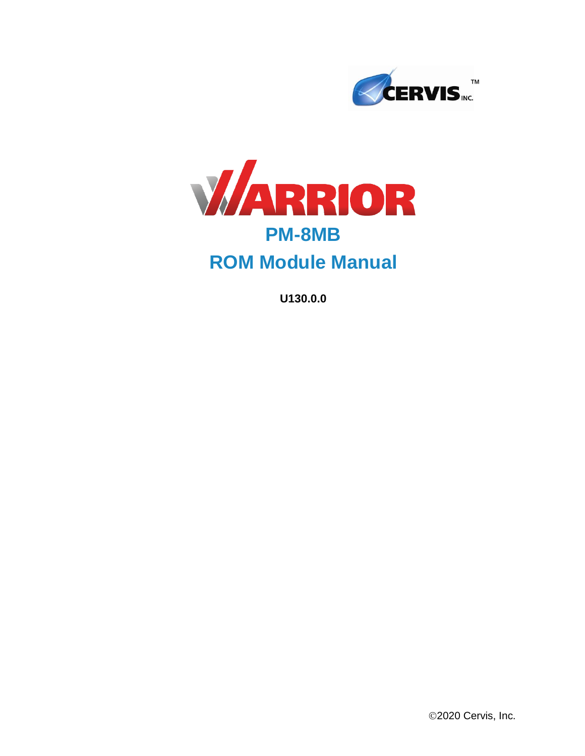



# **ROM Module Manual**

**U130.0.0**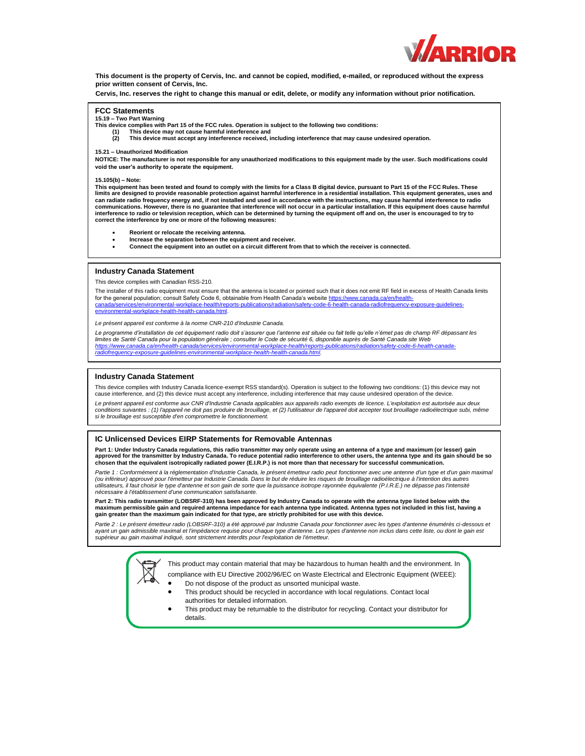

**This document is the property of Cervis, Inc. and cannot be copied, modified, e-mailed, or reproduced without the express prior written consent of Cervis, Inc.**

**Cervis, Inc. reserves the right to change this manual or edit, delete, or modify any information without prior notification.**

#### **FCC Statements**

**15.19 – Two Part Warning**

- **This device complies with Part 15 of the FCC rules. Operation is subject to the following two conditions:**
	- **(1) This device may not cause harmful interference and (2) This device must accept any interference received, including interference that may cause undesired operation.**

#### **15.21 – Unauthorized Modification**

**NOTICE: The manufacturer is not responsible for any unauthorized modifications to this equipment made by the user. Such modifications could void the user's authority to operate the equipment.**

#### **15.105(b) – Note:**

**This equipment has been tested and found to comply with the limits for a Class B digital device, pursuant to Part 15 of the FCC Rules. These**  limits are designed to provide reasonable protection against harmful interference in a residential installation. This equipment generates, uses and<br>can radiate radio frequency energy and, if not installed and used in accor **communications. However, there is no guarantee that interference will not occur in a particular installation. If this equipment does cause harmful interference to radio or television reception, which can be determined by turning the equipment off and on, the user is encouraged to try to correct the interference by one or more of the following measures:**

- **Reorient or relocate the receiving antenna.**
- **Increase the separation between the equipment and receiver.**<br>Connect the equipment into an outlet on a circuit different from
	- **Connect the equipment into an outlet on a circuit different from that to which the receiver is connected.**

#### **Industry Canada Statement**

his device complies with Canadian RSS-210.

The installer of this radio equipment must ensure that the antenna is located or pointed such that it does not emit RF field in excess of Health Canada limits for the general population; consult Safety Code 6, obtainable from Health Canada's website https://www.canada.ca/en/healthcanada/services/environmental-workplace-health/reports-publications/radiation/safety-code-6-health-canada-radiofrequency-exposure-guidelinesenvironmental-workplace-health-health-canada.html.

*Le présent appareil est conforme à la norme CNR-210 d'Industrie Canada.*

Le programme d'installation de cet équipement radio doit s'assurer que l'antenne est située ou fait telle qu'elle n'émet pas de champ RF dépassant les *limites de Santé Canada pour la population générale ; consulter le Code de sécurité 6, disponible auprès de Santé Canada site Web https://www.canada.ca/en/health-canada/services/environmental-workplace-health/reports-publications/radiation/safety-code-6-health-canada-*

*radiofrequency-exposure-guidelines-environmental-workplace-health-health-canada.html.*

#### **Industry Canada Statement**

This device complies with Industry Canada licence-exempt RSS standard(s). Operation is subject to the following two conditions: (1) this device may not cause interference, and (2) this device must accept any interference, including interference that may cause undesired operation of the device.

*Le présent appareil est conforme aux CNR d'Industrie Canada applicables aux appareils radio exempts de licence. L'exploitation est autorisée aux deux conditions suivantes : (1) l'appareil ne doit pas produire de brouillage, et (2) l'utilisateur de l'appareil doit accepter tout brouillage radioélectrique subi, même si le brouillage est susceptible d'en compromettre le fonctionnement.*

#### **IC Unlicensed Devices EIRP Statements for Removable Antennas**

Part 1: Under Industry Canada regulations, this radio transmitter may only operate using an antenna of a type and maximum (or lesser) gain<br>approved for the transmitter by Industry Canada. To reduce potential radio interfer

*Partie 1 : Conformément à la réglementation d'Industrie Canada, le présent émetteur radio peut fonctionner avec une antenne d'un type et d'un gain maximal (ou inférieur) approuvé pour l'émetteur par Industrie Canada. Dans le but de réduire les risques de brouillage radioélectrique à l'intention des autres utilisateurs, il faut choisir le type d'antenne et son gain de sorte que la puissance isotrope rayonnée équivalente (P.I.R.E.) ne dépasse pas l'intensité nécessaire à l'établissement d'une communication satisfaisante.*

**Part 2: This radio transmitter (LOBSRF-310) has been approved by Industry Canada to operate with the antenna type listed below with the maximum permissible gain and required antenna impedance for each antenna type indicated. Antenna types not included in this list, having a gain greater than the maximum gain indicated for that type, are strictly prohibited for use with this device.**

Partie 2 : Le présent émetteur radio (LOBSRF-310) a été approuvé par Industrie Canada pour fonctionner avec les types d'antenne énumérés ci-dessous et ayant un gain admissible maximal et l'impédance requise pour chaque type d'antenne. Les types d'antenne non inclus dans cette liste, ou dont le gain est<br>supérieur au gain maximal indiqué, sont strictement interdits pour l'

> This product may contain material that may be hazardous to human health and the environment. In compliance with EU Directive 2002/96/EC on Waste Electrical and Electronic Equipment (WEEE):

- Do not dispose of the product as unsorted municipal waste.
- This product should be recycled in accordance with local regulations. Contact local authorities for detailed information.
- This product may be returnable to the distributor for recycling. Contact your distributor for details.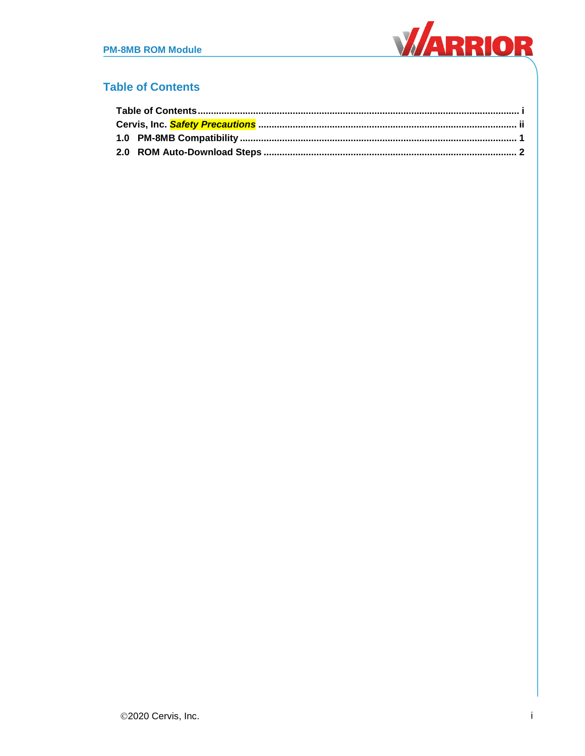

### <span id="page-2-0"></span>**Table of Contents**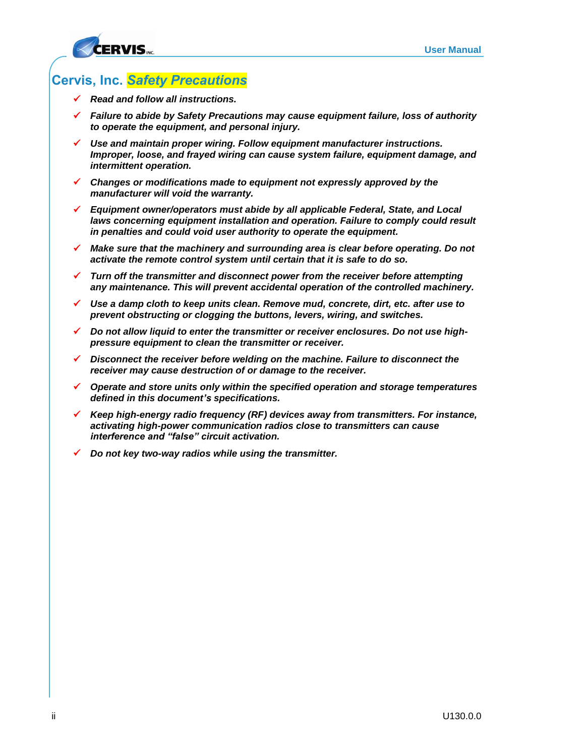

### <span id="page-3-0"></span>**Cervis, Inc.** *Safety Precautions*

- *Read and follow all instructions.*
- *Failure to abide by Safety Precautions may cause equipment failure, loss of authority to operate the equipment, and personal injury.*
- *Use and maintain proper wiring. Follow equipment manufacturer instructions. Improper, loose, and frayed wiring can cause system failure, equipment damage, and intermittent operation.*
- *Changes or modifications made to equipment not expressly approved by the manufacturer will void the warranty.*
- *Equipment owner/operators must abide by all applicable Federal, State, and Local*  laws concerning equipment installation and operation. Failure to comply could result *in penalties and could void user authority to operate the equipment.*
- *Make sure that the machinery and surrounding area is clear before operating. Do not activate the remote control system until certain that it is safe to do so.*
- *Turn off the transmitter and disconnect power from the receiver before attempting any maintenance. This will prevent accidental operation of the controlled machinery.*
- *Use a damp cloth to keep units clean. Remove mud, concrete, dirt, etc. after use to prevent obstructing or clogging the buttons, levers, wiring, and switches.*
- *Do not allow liquid to enter the transmitter or receiver enclosures. Do not use highpressure equipment to clean the transmitter or receiver.*
- *Disconnect the receiver before welding on the machine. Failure to disconnect the receiver may cause destruction of or damage to the receiver.*
- *Operate and store units only within the specified operation and storage temperatures defined in this document's specifications.*
- *Keep high-energy radio frequency (RF) devices away from transmitters. For instance, activating high-power communication radios close to transmitters can cause interference and "false" circuit activation.*
- *Do not key two-way radios while using the transmitter.*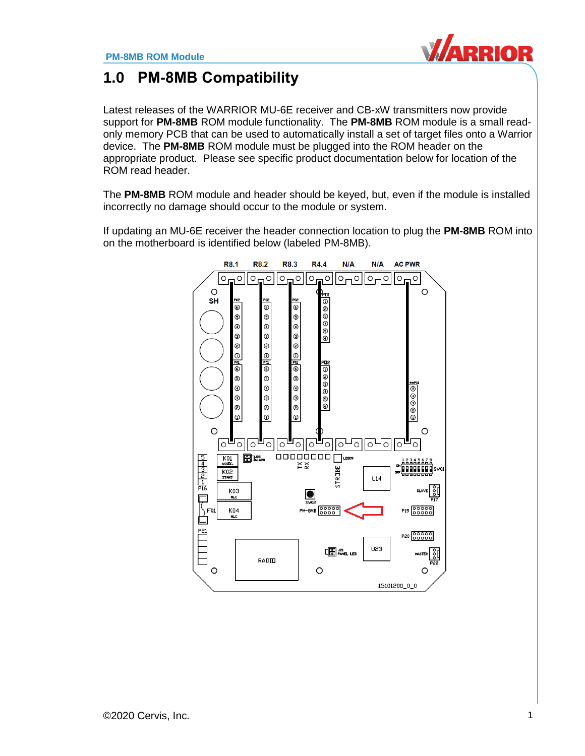

# <span id="page-4-0"></span>**1.0 PM-8MB Compatibility**

Latest releases of the WARRIOR MU-6E receiver and CB-xW transmitters now provide support for **PM-8MB** ROM module functionality. The **PM-8MB** ROM module is a small readonly memory PCB that can be used to automatically install a set of target files onto a Warrior device. The **PM-8MB** ROM module must be plugged into the ROM header on the appropriate product. Please see specific product documentation below for location of the ROM read header.

The **PM-8MB** ROM module and header should be keyed, but, even if the module is installed incorrectly no damage should occur to the module or system.

If updating an MU-6E receiver the header connection location to plug the **PM-8MB** ROM into on the motherboard is identified below (labeled PM-8MB).

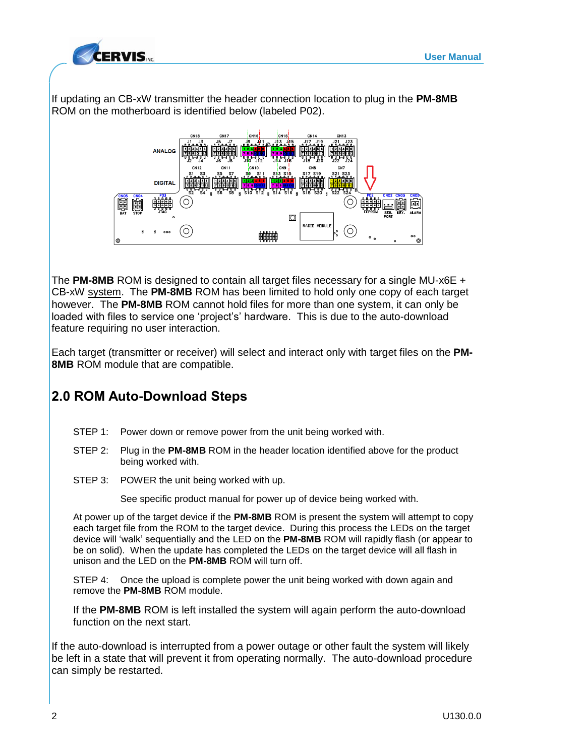

If updating an CB-xW transmitter the header connection location to plug in the **PM-8MB** ROM on the motherboard is identified below (labeled P02).



The **PM-8MB** ROM is designed to contain all target files necessary for a single MU-x6E + CB-xW system. The **PM-8MB** ROM has been limited to hold only one copy of each target however. The **PM-8MB** ROM cannot hold files for more than one system, it can only be loaded with files to service one 'project's' hardware. This is due to the auto-download feature requiring no user interaction.

Each target (transmitter or receiver) will select and interact only with target files on the **PM-8MB** ROM module that are compatible.

## <span id="page-5-0"></span>**2.0 ROM Auto-Download Steps**

- STEP 1: Power down or remove power from the unit being worked with.
- STEP 2: Plug in the **PM-8MB** ROM in the header location identified above for the product being worked with.
- STEP 3: POWER the unit being worked with up.

See specific product manual for power up of device being worked with.

At power up of the target device if the **PM-8MB** ROM is present the system will attempt to copy each target file from the ROM to the target device. During this process the LEDs on the target device will 'walk' sequentially and the LED on the **PM-8MB** ROM will rapidly flash (or appear to be on solid). When the update has completed the LEDs on the target device will all flash in unison and the LED on the **PM-8MB** ROM will turn off.

STEP 4: Once the upload is complete power the unit being worked with down again and remove the **PM-8MB** ROM module.

If the **PM-8MB** ROM is left installed the system will again perform the auto-download function on the next start.

If the auto-download is interrupted from a power outage or other fault the system will likely be left in a state that will prevent it from operating normally. The auto-download procedure can simply be restarted.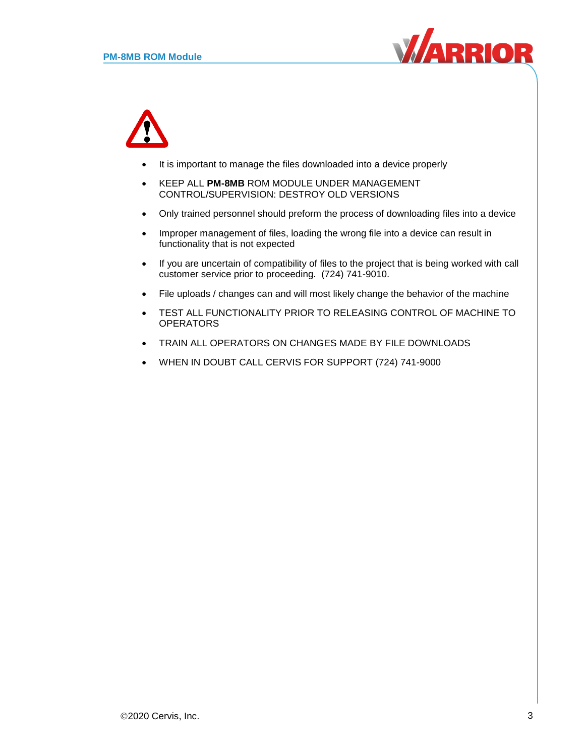



- It is important to manage the files downloaded into a device properly
- KEEP ALL **PM-8MB** ROM MODULE UNDER MANAGEMENT CONTROL/SUPERVISION: DESTROY OLD VERSIONS
- Only trained personnel should preform the process of downloading files into a device
- Improper management of files, loading the wrong file into a device can result in functionality that is not expected
- If you are uncertain of compatibility of files to the project that is being worked with call customer service prior to proceeding. (724) 741-9010.
- File uploads / changes can and will most likely change the behavior of the machine
- TEST ALL FUNCTIONALITY PRIOR TO RELEASING CONTROL OF MACHINE TO **OPERATORS**
- TRAIN ALL OPERATORS ON CHANGES MADE BY FILE DOWNLOADS
- WHEN IN DOUBT CALL CERVIS FOR SUPPORT (724) 741-9000